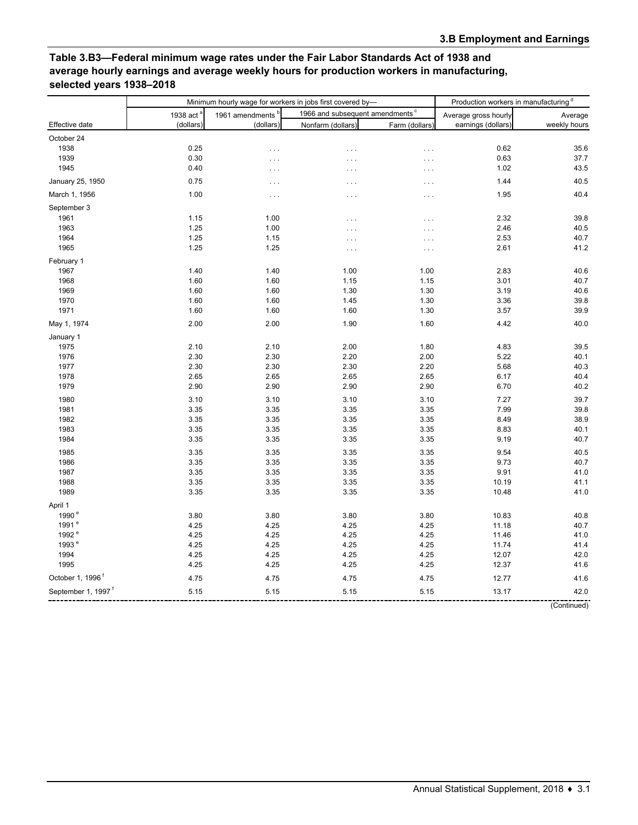## **Table 3.B3—Federal minimum wage rates under the Fair Labor Standards Act of 1938 and average hourly earnings and average weekly hours for production workers in manufacturing, selected years 1938–2018**

|                                |                                    | Minimum hourly wage for workers in jobs first covered by- | Production workers in manufacturing <sup>d</sup> |                |                      |              |
|--------------------------------|------------------------------------|-----------------------------------------------------------|--------------------------------------------------|----------------|----------------------|--------------|
| Effective date                 | 1938 act <sup>a</sup><br>(dollars) | 1961 amendments <sup>b</sup><br>(dollars)                 | 1966 and subsequent amendments <sup>c</sup>      |                | Average gross hourly | Average      |
|                                |                                    |                                                           | Nonfarm (dollars)                                | Farm (dollars) | earnings (dollars)   | weekly hours |
| October 24                     |                                    |                                                           |                                                  |                |                      |              |
| 1938                           | 0.25                               | $\cdots$                                                  | $\ldots$                                         | $\ldots$       | 0.62                 | 35.6         |
| 1939                           | 0.30                               | $\cdots$                                                  | $\ldots$                                         | $\ldots$       | 0.63                 | 37.7         |
| 1945                           | 0.40                               | $\cdots$                                                  | $\cdots$                                         | $\cdots$       | 1.02                 | 43.5         |
| January 25, 1950               | 0.75                               | $\ldots$                                                  | $\cdots$                                         | $\cdots$       | 1.44                 | 40.5         |
| March 1, 1956                  | 1.00                               | $\cdots$                                                  | $\cdots$                                         | $\ldots$       | 1.95                 | 40.4         |
| September 3                    |                                    |                                                           |                                                  |                |                      |              |
| 1961                           | 1.15                               | 1.00                                                      | $\cdots$                                         | $\ldots$       | 2.32                 | 39.8         |
| 1963                           | 1.25                               | 1.00                                                      | $\cdots$                                         | .              | 2.46                 | 40.5         |
| 1964                           | 1.25                               | 1.15                                                      | $\cdots$                                         | $\cdots$       | 2.53                 | 40.7         |
| 1965                           | 1.25                               | 1.25                                                      | $\cdots$                                         | $\cdots$       | 2.61                 | 41.2         |
| February 1                     |                                    |                                                           |                                                  |                |                      |              |
| 1967                           | 1.40                               | 1.40                                                      | 1.00                                             | 1.00           | 2.83                 | 40.6         |
| 1968                           | 1.60                               | 1.60                                                      | 1.15                                             | 1.15           | 3.01                 | 40.7         |
| 1969                           |                                    | 1.60                                                      | 1.30                                             |                | 3.19                 | 40.6         |
|                                | 1.60                               |                                                           |                                                  | 1.30           |                      |              |
| 1970                           | 1.60                               | 1.60                                                      | 1.45                                             | 1.30           | 3.36                 | 39.8         |
| 1971                           | 1.60                               | 1.60                                                      | 1.60                                             | 1.30           | 3.57                 | 39.9         |
| May 1, 1974                    | 2.00                               | 2.00                                                      | 1.90                                             | 1.60           | 4.42                 | 40.0         |
| January 1                      |                                    |                                                           |                                                  |                |                      |              |
| 1975                           | 2.10                               | 2.10                                                      | 2.00                                             | 1.80           | 4.83                 | 39.5         |
| 1976                           | 2.30                               | 2.30                                                      | 2.20                                             | 2.00           | 5.22                 | 40.1         |
| 1977                           | 2.30                               | 2.30                                                      | 2.30                                             | 2.20           | 5.68                 | 40.3         |
| 1978                           | 2.65                               | 2.65                                                      | 2.65                                             | 2.65           | 6.17                 | 40.4         |
| 1979                           | 2.90                               | 2.90                                                      | 2.90                                             | 2.90           | 6.70                 | 40.2         |
| 1980                           | 3.10                               | 3.10                                                      | 3.10                                             | 3.10           | 7.27                 | 39.7         |
| 1981                           | 3.35                               | 3.35                                                      | 3.35                                             | 3.35           | 7.99                 | 39.8         |
| 1982                           | 3.35                               | 3.35                                                      | 3.35                                             | 3.35           | 8.49                 | 38.9         |
| 1983                           | 3.35                               | 3.35                                                      | 3.35                                             | 3.35           | 8.83                 | 40.1         |
| 1984                           | 3.35                               | 3.35                                                      | 3.35                                             | 3.35           | 9.19                 | 40.7         |
| 1985                           | 3.35                               | 3.35                                                      | 3.35                                             | 3.35           | 9.54                 | 40.5         |
| 1986                           | 3.35                               | 3.35                                                      | 3.35                                             | 3.35           | 9.73                 | 40.7         |
| 1987                           | 3.35                               | 3.35                                                      | 3.35                                             | 3.35           | 9.91                 | 41.0         |
| 1988                           | 3.35                               | 3.35                                                      | 3.35                                             | 3.35           | 10.19                | 41.1         |
| 1989                           | 3.35                               | 3.35                                                      | 3.35                                             | 3.35           | 10.48                | 41.0         |
| April 1                        |                                    |                                                           |                                                  |                |                      |              |
| 1990 <sup>e</sup>              | 3.80                               | 3.80                                                      | 3.80                                             | 3.80           | 10.83                | 40.8         |
| 1991 <sup>e</sup>              | 4.25                               | 4.25                                                      | 4.25                                             | 4.25           | 11.18                | 40.7         |
| 1992 <sup>e</sup>              | 4.25                               | 4.25                                                      | 4.25                                             | 4.25           | 11.46                | 41.0         |
| 1993 <sup>e</sup>              | 4.25                               | 4.25                                                      | 4.25                                             | 4.25           | 11.74                | 41.4         |
| 1994                           | 4.25                               | 4.25                                                      | 4.25                                             | 4.25           | 12.07                | 42.0         |
| 1995                           | 4.25                               | 4.25                                                      | 4.25                                             | 4.25           | 12.37                | 41.6         |
| October 1, 1996 <sup>f</sup>   |                                    |                                                           |                                                  |                |                      |              |
|                                | 4.75                               | 4.75                                                      | 4.75                                             | 4.75           | 12.77                | 41.6         |
| September 1, 1997 <sup>f</sup> | 5.15                               | 5.15                                                      | 5.15                                             | 5.15           | 13.17                | 42.0         |

(Continued)